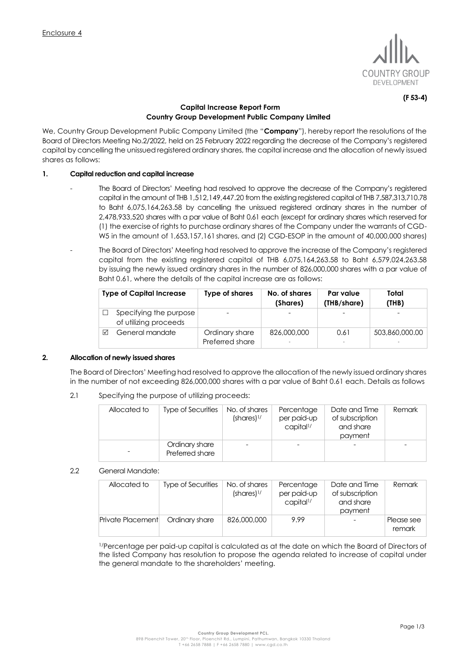

**(F 53-4)**

# **Capital Increase Report Form Country Group Development Public Company Limited**

We, Country Group Development Public Company Limited (the "**Company**"), hereby report the resolutions of the Board of Directors Meeting No.2/2022, held on 25 February 2022 regarding the decrease of the Company's registered capital by cancelling the unissued registered ordinary shares, the capital increase and the allocation of newly issued shares as follows:

# **1. Capital reduction and capital increase**

- The Board of Directors' Meeting had resolved to approve the decrease of the Company's registered capital in the amount of THB 1,512,149,447.20 from the existing registered capital of THB 7,587,313,710.78 to Baht 6,075,164,263.58 by cancelling the unissued registered ordinary shares in the number of 2,478,933,520 shares with a par value of Baht 0.61 each (except for ordinary shares which reserved for (1) the exercise of rights to purchase ordinary shares of the Company under the warrants of CGD-W5 in the amount of 1,653,157,161 shares, and (2) CGD-ESOP in the amount of 40,000,000 shares)
	- The Board of Directors' Meeting had resolved to approve the increase of the Company's registered capital from the existing registered capital of THB 6,075,164,263.58 to Baht 6,579,024,263.58 by issuing the newly issued ordinary shares in the number of 826,000,000 shares with a par value of Baht 0.61, where the details of the capital increase are as follows:

| <b>Type of Capital Increase</b> |                                                 | Type of shares                    | No. of shares<br>(Shares) | Par value<br>(THB/share) | Total<br>(THB) |  |
|---------------------------------|-------------------------------------------------|-----------------------------------|---------------------------|--------------------------|----------------|--|
|                                 | Specifying the purpose<br>of utilizing proceeds |                                   |                           |                          |                |  |
| ⊠                               | General mandate                                 | Ordinary share<br>Preferred share | 826,000,000               | 0.61                     | 503,860,000.00 |  |

# **2. Allocation of newly issued shares**

The Board of Directors' Meeting had resolved to approve the allocation of the newly issued ordinary shares in the number of not exceeding 826,000,000 shares with a par value of Baht 0.61 each. Details as follows

2.1 Specifying the purpose of utilizing proceeds:

| Allocated to | Type of Securities                | No. of shares<br>$(shares)^{1/2}$ | Percentage<br>per paid-up<br>capital <sup>1/</sup> | Date and Time<br>of subscription<br>and share<br>payment | Remark |
|--------------|-----------------------------------|-----------------------------------|----------------------------------------------------|----------------------------------------------------------|--------|
|              | Ordinary share<br>Preferred share |                                   |                                                    |                                                          |        |

# 2.2 General Mandate:

| Allocated to      | Type of Securities | No. of shares<br>$(shares)^{1/2}$ | Percentage<br>per paid-up<br>capital <sup>1/</sup> | Date and Time<br>of subscription<br>and share<br>payment | Remark                 |
|-------------------|--------------------|-----------------------------------|----------------------------------------------------|----------------------------------------------------------|------------------------|
| Private Placement | Ordinary share     | 826,000,000                       | 9.99                                               |                                                          | . Please see<br>remark |

1/Percentage per paid-up capital is calculated as at the date on which the Board of Directors of the listed Company has resolution to propose the agenda related to increase of capital under the general mandate to the shareholders' meeting.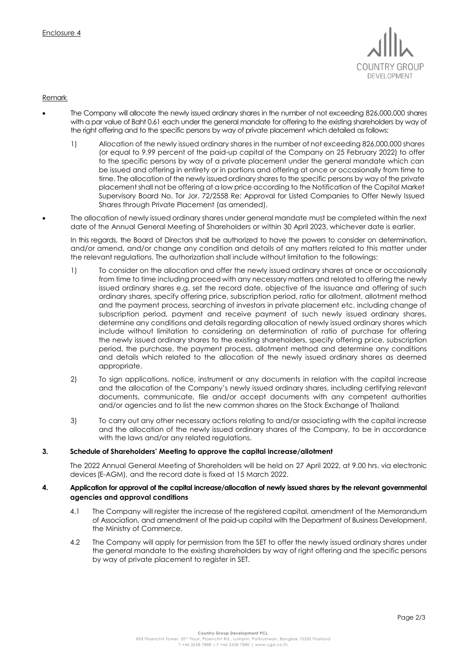

Remark:

- The Company will allocate the newly issued ordinary shares in the number of not exceeding 826,000,000 shares with a par value of Baht 0.61 each under the general mandate for offering to the existing shareholders by way of the right offering and to the specific persons by way of private placement which detailed as follows:
	- 1) Allocation of the newly issued ordinary shares in the number of not exceeding 826,000,000 shares (or equal to 9.99 percent of the paid-up capital of the Company on 25 February 2022) to offer to the specific persons by way of a private placement under the general mandate which can be issued and offering in entirety or in portions and offering at once or occasionally from time to time. The allocation of the newly issued ordinary shares to the specific persons by way of the private placement shall not be offering at a low price according to the Notification of the Capital Market Supervisory Board No. Tor Jor. 72/2558 Re: Approval for Listed Companies to Offer Newly Issued Shares through Private Placement (as amended).
- The allocation of newly issued ordinary shares under general mandate must be completed within the next date of the Annual General Meeting of Shareholders or within 30 April 2023, whichever date is earlier.

In this regards, the Board of Directors shall be authorized to have the powers to consider on determination, and/or amend, and/or change any condition and details of any matters related to this matter under the relevant regulations. The authorization shall include without limitation to the followings:

- 1) To consider on the allocation and offer the newly issued ordinary shares at once or occasionally from time to time including proceed with any necessary matters and related to offering the newly issued ordinary shares e.g. set the record date, objective of the issuance and offering of such ordinary shares, specify offering price, subscription period, ratio for allotment, allotment method and the payment process, searching of investors in private placement etc. including change of subscription period, payment and receive payment of such newly issued ordinary shares, determine any conditions and details regarding allocation of newly issued ordinary shares which include without limitation to considering on determination of ratio of purchase for offering the newly issued ordinary shares to the existing shareholders, specify offering price, subscription period, the purchase, the payment process, allotment method and determine any conditions and details which related to the allocation of the newly issued ordinary shares as deemed appropriate.
- 2) To sign applications, notice, instrument or any documents in relation with the capital increase and the allocation of the Company's newly issued ordinary shares, including certifying relevant documents, communicate, file and/or accept documents with any competent authorities and/or agencies and to list the new common shares on the Stock Exchange of Thailand.
- 3) To carry out any other necessary actions relating to and/or associating with the capital increase and the allocation of the newly issued ordinary shares of the Company, to be in accordance with the laws and/or any related regulations.

# **3. Schedule of Shareholders' Meeting to approve the capital increase/allotment**

The 2022 Annual General Meeting of Shareholders will be held on 27 April 2022, at 9.00 hrs. via electronic devices(E-AGM), and the record date is fixed at 15 March 2022.

# **4. Application for approval of the capital increase/allocation of newly issued shares by the relevant governmental agencies and approval conditions**

- 4.1 The Company will register the increase of the registered capital, amendment of the Memorandum of Association, and amendment of the paid-up capital with the Department of Business Development, the Ministry of Commerce.
- 4.2 The Company will apply for permission from the SET to offer the newly issued ordinary shares under the general mandate to the existing shareholders by way of right offering and the specific persons by way of private placement to register in SET.